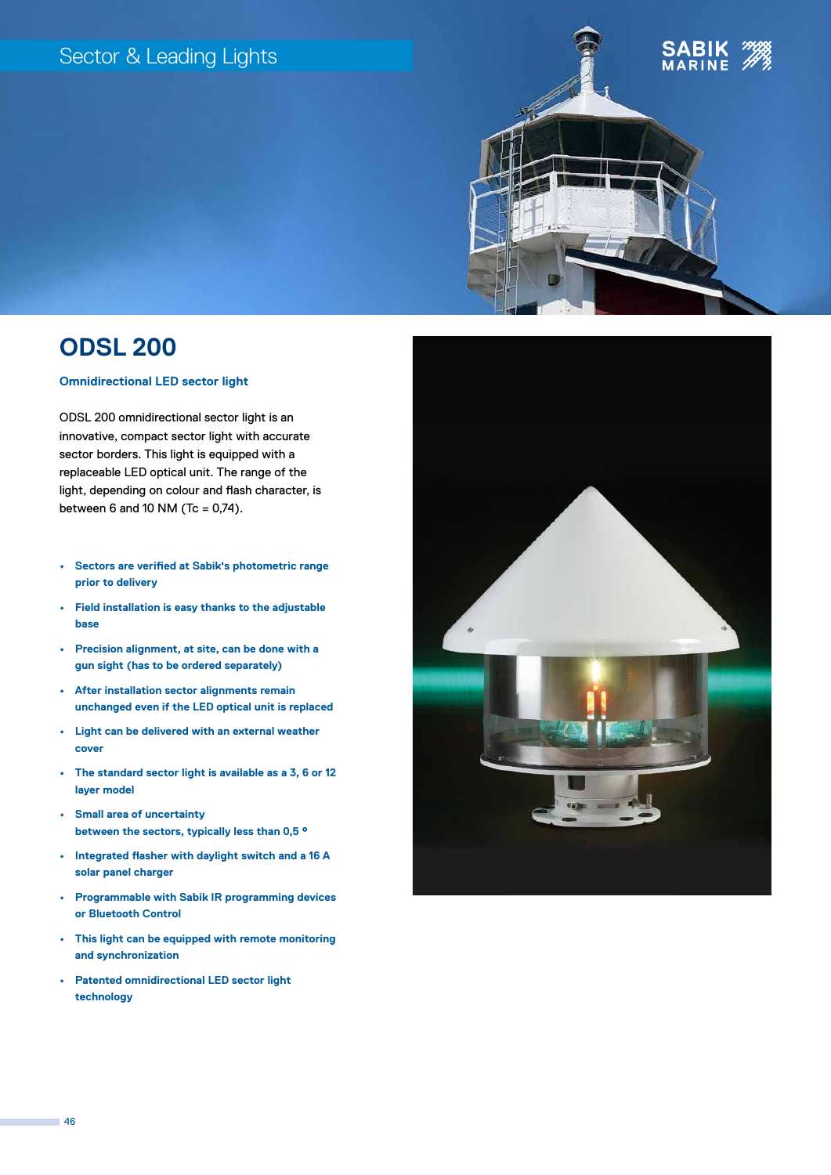## Sector & Leading Lights





# **ODSL 200**

## **Omnidirectional LED sector light**

ODSL 200 omnidirectional sector light is an innovative, compact sector light with accurate sector borders. This light is equipped with a replaceable LED optical unit. The range of the light, depending on colour and flash character, is between 6 and 10 NM (Tc =  $0,74$ ).

- **• Sectors are verified at Sabik's photometric range prior to delivery**
- **• Field installation is easy thanks to the adjustable base**
- **• Precision alignment, at site, can be done with a gun sight (has to be ordered separately)**
- **• After installation sector alignments remain unchanged even if the LED optical unit is replaced**
- **• Light can be delivered with an external weather cover**
- **• The standard sector light is available as a 3, 6 or 12 layer model**
- **• Small area of uncertainty between the sectors, typically less than 0,5 °**
- **• Integrated flasher with daylight switch and a 16 A solar panel charger**
- **• Programmable with Sabik IR programming devices or Bluetooth Control**
- **• This light can be equipped with remote monitoring and synchronization**
- **• Patented omnidirectional LED sector light technology**